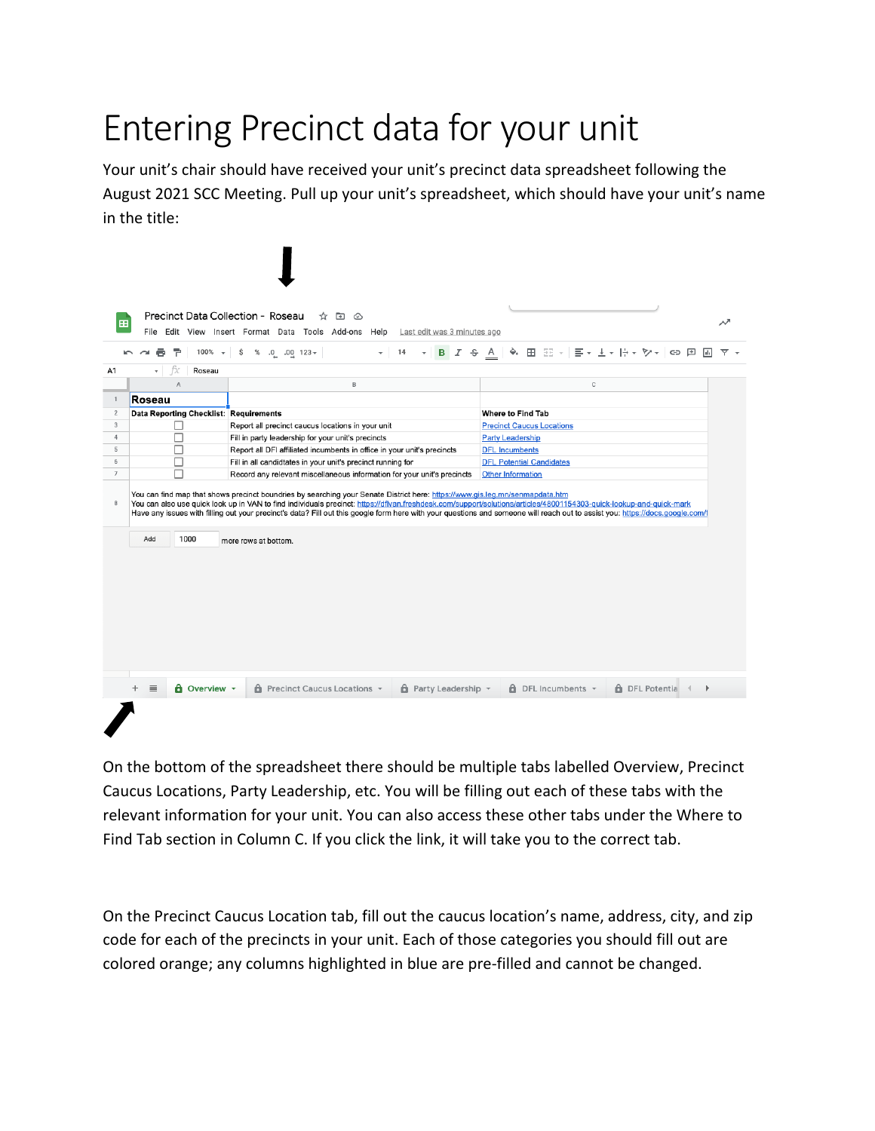## Entering Precinct data for your unit

Your unit's chair should have received your unit's precinct data spreadsheet following the August 2021 SCC Meeting. Pull up your unit's spreadsheet, which should have your unit's name in the title:



On the bottom of the spreadsheet there should be multiple tabs labelled Overview, Precinct Caucus Locations, Party Leadership, etc. You will be filling out each of these tabs with the relevant information for your unit. You can also access these other tabs under the Where to Find Tab section in Column C. If you click the link, it will take you to the correct tab.

On the Precinct Caucus Location tab, fill out the caucus location's name, address, city, and zip code for each of the precincts in your unit. Each of those categories you should fill out are colored orange; any columns highlighted in blue are pre-filled and cannot be changed.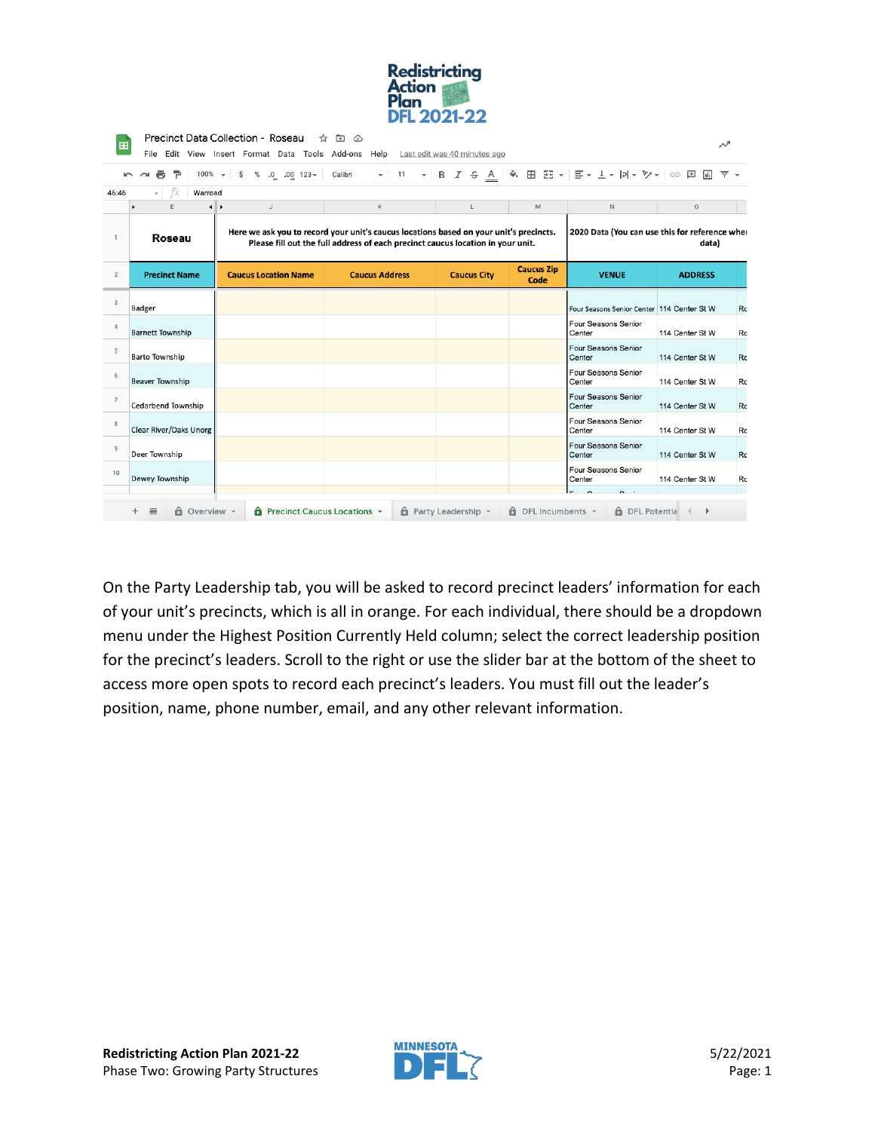| <b>Redistricting</b> |  |
|----------------------|--|
| <b>Action</b>        |  |
| Plan                 |  |
| <b>DFL 2021-22</b>   |  |

| 田                      | Precinct Data Collection - Roseau<br>$\overline{a}$<br>∞<br>↗<br>File Edit View Insert Format Data Tools Add-ons Help<br>Last edit was 40 minutes ago                                  |                                |                                                                                                                                                                           |                    |                           |                                                |                 |    |
|------------------------|----------------------------------------------------------------------------------------------------------------------------------------------------------------------------------------|--------------------------------|---------------------------------------------------------------------------------------------------------------------------------------------------------------------------|--------------------|---------------------------|------------------------------------------------|-----------------|----|
|                        | $100\%$ $\star$<br>÷.                                                                                                                                                                  | \$<br>% $.0$ $.00$ 123 $\star$ | Calibri                                                                                                                                                                   |                    |                           |                                                | 同               |    |
| 46:46                  | fx<br>Warroad<br>$\overline{\phantom{a}}$                                                                                                                                              |                                |                                                                                                                                                                           |                    |                           |                                                |                 |    |
|                        | E                                                                                                                                                                                      | $\mathsf J$<br>$\leftarrow$    | К                                                                                                                                                                         | L                  | M                         | N                                              | $\circ$         |    |
| $\mathbf{1}$           | Roseau                                                                                                                                                                                 |                                | Here we ask you to record your unit's caucus locations based on your unit's precincts.<br>Please fill out the full address of each precinct caucus location in your unit. |                    |                           | 2020 Data (You can use this for reference wher | data)           |    |
| $\overline{2}$         | <b>Precinct Name</b>                                                                                                                                                                   | <b>Caucus Location Name</b>    | <b>Caucus Address</b>                                                                                                                                                     | <b>Caucus City</b> | <b>Caucus Zip</b><br>Code | <b>VENUE</b>                                   | <b>ADDRESS</b>  |    |
| $\overline{3}$         | Badger                                                                                                                                                                                 |                                |                                                                                                                                                                           |                    |                           | Four Seasons Senior Center 114 Center St W     |                 | Rc |
| $\boldsymbol{\Lambda}$ | <b>Barnett Township</b>                                                                                                                                                                |                                |                                                                                                                                                                           |                    |                           | Four Seasons Senior<br>Center                  | 114 Center St W | Rc |
| 5                      | Barto Township                                                                                                                                                                         |                                |                                                                                                                                                                           |                    |                           | Four Seasons Senior<br>Center                  | 114 Center St W | Rc |
| 6                      | Beaver Township                                                                                                                                                                        |                                |                                                                                                                                                                           |                    |                           | Four Seasons Senior<br>Center                  | 114 Center St W | Rc |
| $\overline{7}$         | <b>Cedarbend Township</b>                                                                                                                                                              |                                |                                                                                                                                                                           |                    |                           | Four Seasons Senior<br>Center                  | 114 Center St W | Rc |
| 8                      | Clear River/Oaks Unorg                                                                                                                                                                 |                                |                                                                                                                                                                           |                    |                           | Four Seasons Senior<br>Center                  | 114 Center St W | Rc |
| $\circ$                | Deer Township                                                                                                                                                                          |                                |                                                                                                                                                                           |                    |                           | Four Seasons Senior<br>Center                  | 114 Center St W | Rc |
| 10                     | Dewey Township                                                                                                                                                                         |                                |                                                                                                                                                                           |                    |                           | Four Seasons Senior<br>Center                  | 114 Center St W | Rc |
|                        | ÷.<br><b>d</b> Overview -<br>$\theta$ Party Leadership $\sim$<br><b>6</b> DFL Potentia<br>$\equiv$<br><b>A</b> Precinct Caucus Locations $\sim$<br>$\theta$ DFL Incumbents $\sim$<br>Þ |                                |                                                                                                                                                                           |                    |                           |                                                |                 |    |

On the Party Leadership tab, you will be asked to record precinct leaders' information for each of your unit's precincts, which is all in orange. For each individual, there should be a dropdown menu under the Highest Position Currently Held column; select the correct leadership position for the precinct's leaders. Scroll to the right or use the slider bar at the bottom of the sheet to access more open spots to record each precinct's leaders. You must fill out the leader's position, name, phone number, email, and any other relevant information.

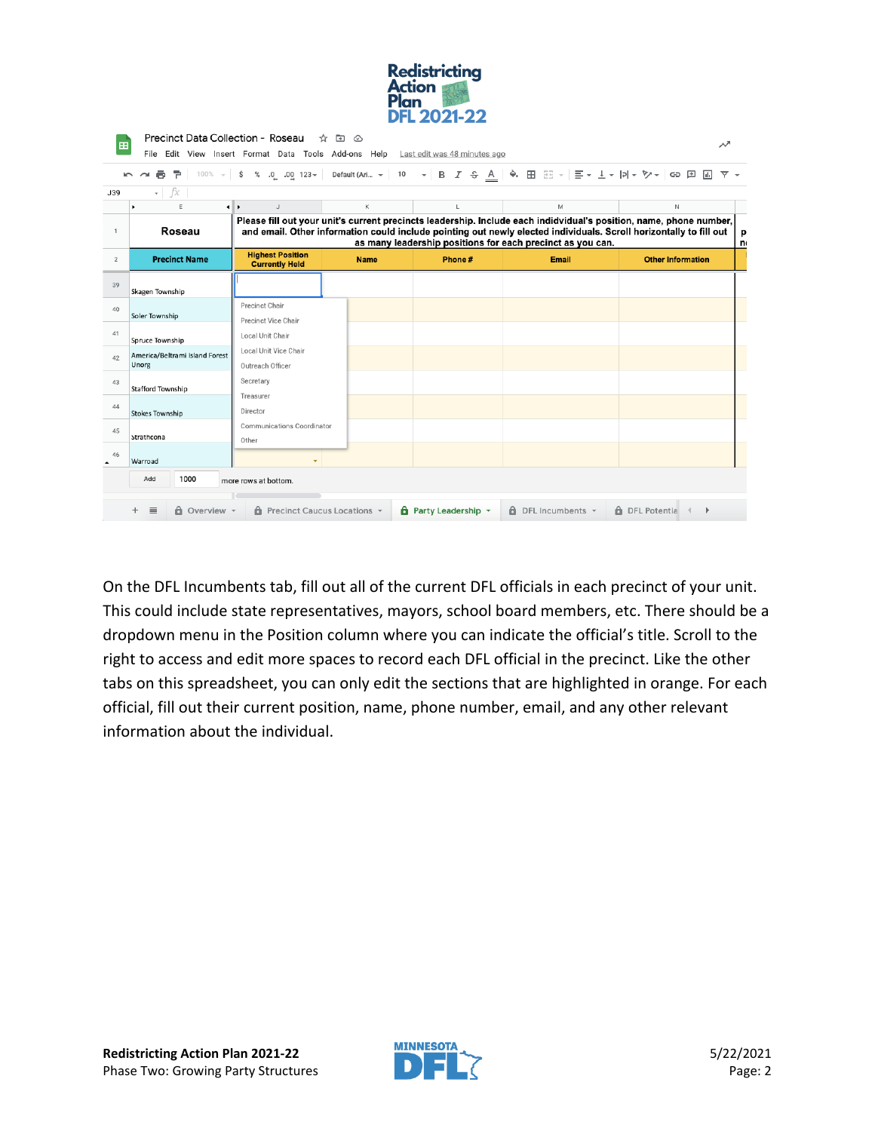

| 田                      |                                                                                                                                                                                                                                                                                                                  | File Edit View Insert Format Data Tools Add-ons Help Last edit was 48 minutes ago |             |                                  |                                | ∼                          |        |  |  |  |
|------------------------|------------------------------------------------------------------------------------------------------------------------------------------------------------------------------------------------------------------------------------------------------------------------------------------------------------------|-----------------------------------------------------------------------------------|-------------|----------------------------------|--------------------------------|----------------------------|--------|--|--|--|
|                        | 100% -   \$ % 0 0 0 123 -   Default (Ari -   10 -   B <i>I</i> ÷ <u>A</u>   ◆ 田 H →   I -   I -   -   >   >   ∞   ∞   E<br>6 P<br>両<br>$\sim$ $\sim$<br>$ -x$<br>J39                                                                                                                                             |                                                                                   |             |                                  |                                |                            |        |  |  |  |
|                        | $\mathsf{E}% _{\mathsf{H}}$<br>٠                                                                                                                                                                                                                                                                                 | ⊣⊪⊁<br>$\cup$                                                                     | K           | L                                | M                              | N                          |        |  |  |  |
| $\mathbf{1}$           | Please fill out your unit's current precincts leadership. Include each indidvidual's position, name, phone number,<br>Roseau<br>and email. Other information could include pointing out newly elected individuals. Scroll horizontally to fill out<br>as many leadership positions for each precinct as you can. |                                                                                   |             |                                  |                                |                            | p<br>n |  |  |  |
| $\overline{2}$         | <b>Precinct Name</b>                                                                                                                                                                                                                                                                                             | <b>Highest Position</b><br><b>Currently Held</b>                                  | <b>Name</b> | Phone#                           | Email                          | <b>Other Information</b>   |        |  |  |  |
| 39                     | Skagen Township                                                                                                                                                                                                                                                                                                  |                                                                                   |             |                                  |                                |                            |        |  |  |  |
| 40                     | Soler Township                                                                                                                                                                                                                                                                                                   | Precinct Chair<br>Precinct Vice Chair                                             |             |                                  |                                |                            |        |  |  |  |
| 41                     | Spruce Township                                                                                                                                                                                                                                                                                                  | Local Unit Chair                                                                  |             |                                  |                                |                            |        |  |  |  |
| 42                     | America/Beltrami Island Forest<br>Unorg                                                                                                                                                                                                                                                                          | Local Unit Vice Chair<br>Outreach Officer                                         |             |                                  |                                |                            |        |  |  |  |
| 43                     | <b>Stafford Township</b>                                                                                                                                                                                                                                                                                         | Secretary<br>Treasurer                                                            |             |                                  |                                |                            |        |  |  |  |
| 44                     | <b>Stokes Township</b>                                                                                                                                                                                                                                                                                           | Director                                                                          |             |                                  |                                |                            |        |  |  |  |
| 45                     | Strathcona                                                                                                                                                                                                                                                                                                       | Communications Coordinator<br>Other                                               |             |                                  |                                |                            |        |  |  |  |
| 46<br>$\blacktriangle$ | Warroad                                                                                                                                                                                                                                                                                                          |                                                                                   |             |                                  |                                |                            |        |  |  |  |
|                        | 1000<br>Add                                                                                                                                                                                                                                                                                                      | more rows at bottom.                                                              |             |                                  |                                |                            |        |  |  |  |
|                        | $\equiv$<br><b>d</b> Overview -<br>÷.                                                                                                                                                                                                                                                                            | <b>d</b> Precinct Caucus Locations +                                              |             | $\theta$ Party Leadership $\sim$ | $\theta$ DFL Incumbents $\sim$ | <b>6</b> DFL Potentia<br>ь |        |  |  |  |

On the DFL Incumbents tab, fill out all of the current DFL officials in each precinct of your unit. This could include state representatives, mayors, school board members, etc. There should be a dropdown menu in the Position column where you can indicate the official's title. Scroll to the right to access and edit more spaces to record each DFL official in the precinct. Like the other tabs on this spreadsheet, you can only edit the sections that are highlighted in orange. For each official, fill out their current position, name, phone number, email, and any other relevant information about the individual.

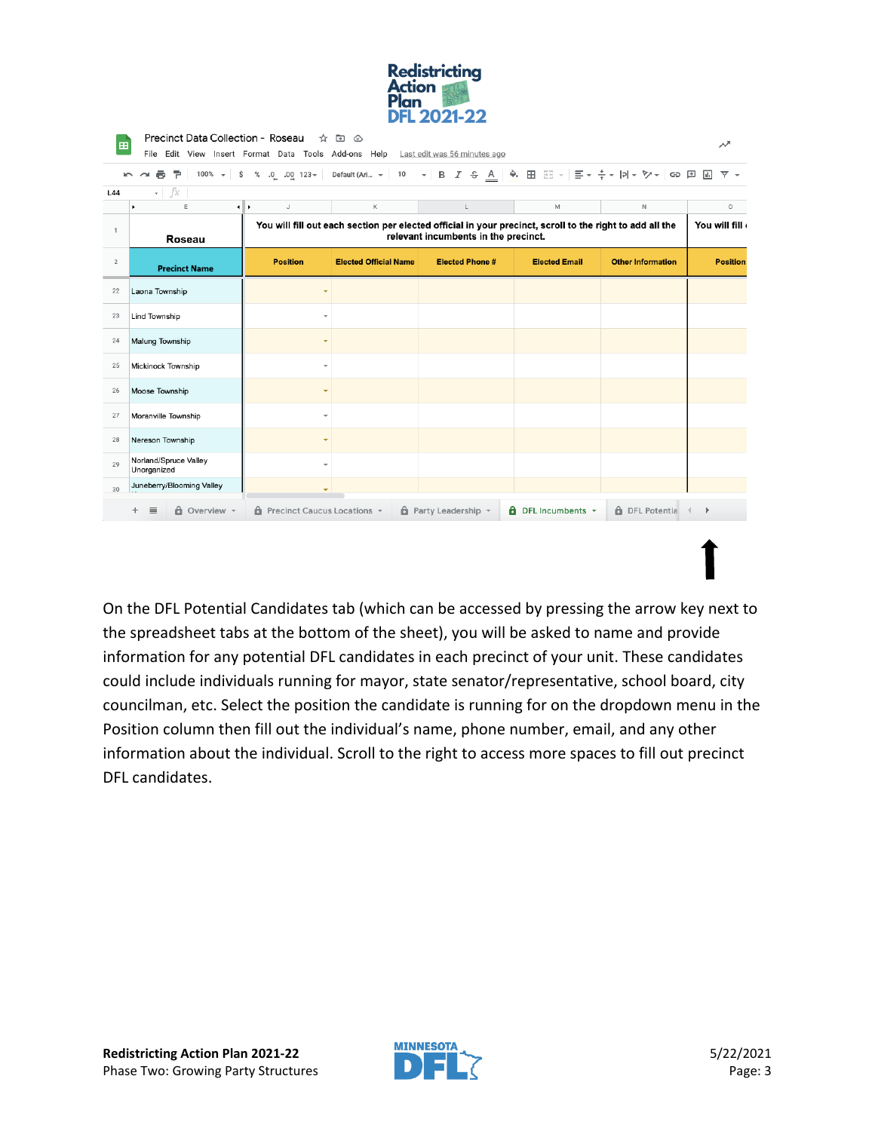

| $\sim$         | $100\% - $<br>\$<br>÷.<br>ē.<br>$\sim$ | $\%$<br>$.0 \quad .00 \quad 123 -$   | Default (Ari $\blacktriangledown$ 10 |                                                                                                                                                  |                                |                          | 同<br>▼ -        |
|----------------|----------------------------------------|--------------------------------------|--------------------------------------|--------------------------------------------------------------------------------------------------------------------------------------------------|--------------------------------|--------------------------|-----------------|
| L44            | $\mathbf{F}$ $\mathbf{F}$              |                                      |                                      |                                                                                                                                                  |                                |                          |                 |
|                | E<br>$\blacksquare$                    | $\mathbb J$<br>٠                     | К                                    | L                                                                                                                                                | M                              | $\mathbb N$              | O               |
| $\mathbf{1}$   | Roseau                                 |                                      |                                      | You will fill out each section per elected official in your precinct, scroll to the right to add all the<br>relevant incumbents in the precinct. |                                |                          | You will fill   |
| $\overline{2}$ | <b>Precinct Name</b>                   | <b>Position</b>                      | <b>Elected Official Name</b>         | <b>Elected Phone#</b>                                                                                                                            | <b>Elected Email</b>           | <b>Other Information</b> | <b>Position</b> |
| 22             | Laona Township                         | ÷                                    |                                      |                                                                                                                                                  |                                |                          |                 |
| 23             | <b>Lind Township</b>                   |                                      |                                      |                                                                                                                                                  |                                |                          |                 |
| 24             | Malung Township                        |                                      |                                      |                                                                                                                                                  |                                |                          |                 |
| 25             | Mickinock Township                     | ÷                                    |                                      |                                                                                                                                                  |                                |                          |                 |
| 26             | Moose Township                         |                                      |                                      |                                                                                                                                                  |                                |                          |                 |
| 27             | Moranville Township                    | $\overline{\phantom{a}}$             |                                      |                                                                                                                                                  |                                |                          |                 |
| 28             | Nereson Township                       |                                      |                                      |                                                                                                                                                  |                                |                          |                 |
| 29             | Norland/Spruce Valley<br>Unorganized   | ÷                                    |                                      |                                                                                                                                                  |                                |                          |                 |
| 30             | Juneberry/Blooming Valley              | ٠                                    |                                      |                                                                                                                                                  |                                |                          |                 |
|                | <b>A</b> Overview -<br>٠.<br>$\equiv$  | <b>A</b> Precinct Caucus Locations v |                                      | $\theta$ Party Leadership $\sim$                                                                                                                 | $\theta$ DFL Incumbents $\sim$ | <b>A</b> DFL Potentia    | Þ               |

On the DFL Potential Candidates tab (which can be accessed by pressing the arrow key next to the spreadsheet tabs at the bottom of the sheet), you will be asked to name and provide information for any potential DFL candidates in each precinct of your unit. These candidates could include individuals running for mayor, state senator/representative, school board, city councilman, etc. Select the position the candidate is running for on the dropdown menu in the Position column then fill out the individual's name, phone number, email, and any other information about the individual. Scroll to the right to access more spaces to fill out precinct DFL candidates.

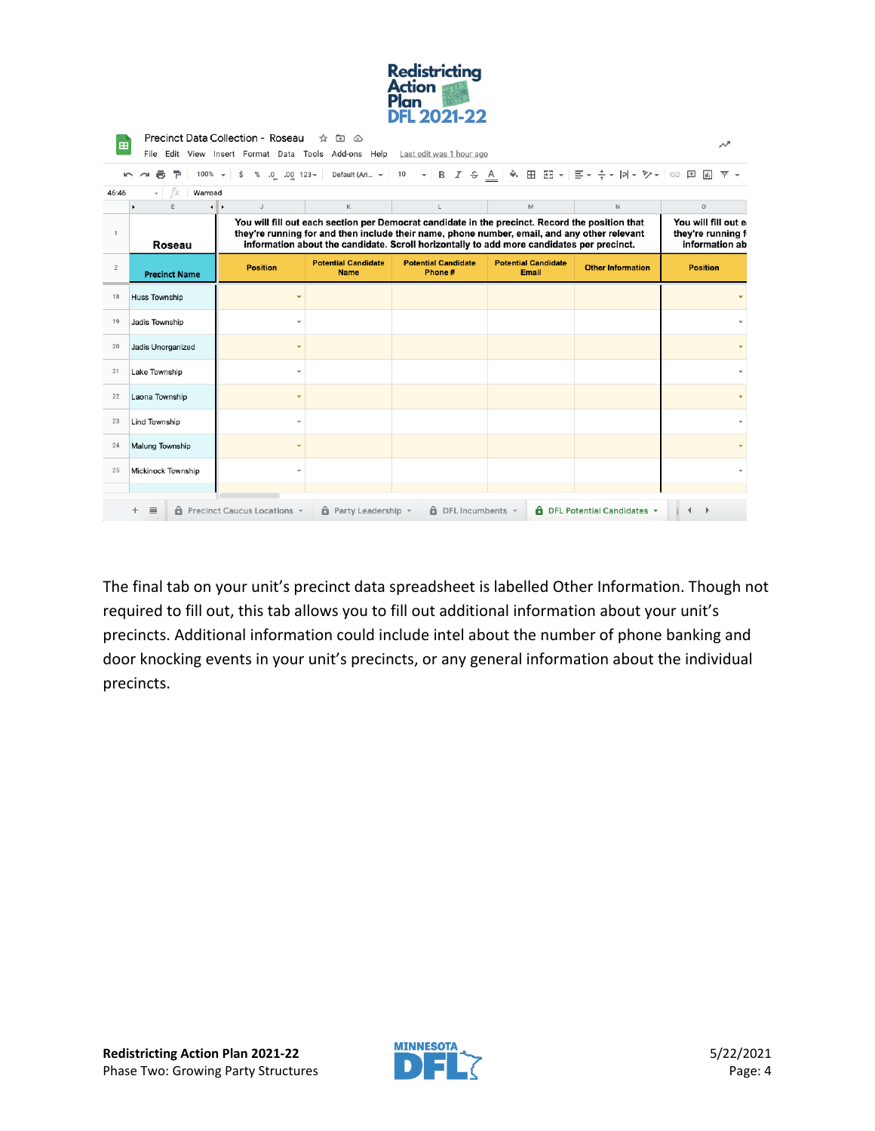| <b>Redistricting</b> |  |
|----------------------|--|
| <b>Action</b>        |  |
| Plan                 |  |
| <b>DFL 2021-22</b>   |  |

| 田              |                      | Precinct Data Collection - Roseau    | ☆<br>ு ⊗                                  | File Edit View Insert Format Data Tools Add-ons Help Last edit was 1 hour ago                                                                                                                                                                                                                |                                     |                                          | ᄽ                                                          |  |  |  |
|----------------|----------------------|--------------------------------------|-------------------------------------------|----------------------------------------------------------------------------------------------------------------------------------------------------------------------------------------------------------------------------------------------------------------------------------------------|-------------------------------------|------------------------------------------|------------------------------------------------------------|--|--|--|
|                | 6 P                  | $100\% - $ \$                        |                                           | % 0 0 123 <del>v</del> Default (Ari… γ   10 <b>v</b>   Β <i>Ι</i> <del>S</del> <u>Α</u>   � ⊞ ΞΞ v   Ξ v <del>½</del> v   p  v ♡ v   ⊙ ⊡   Ш                                                                                                                                                 |                                     |                                          | $\overline{Y}$ +                                           |  |  |  |
| 46:46          | – fx<br>Warroad<br>÷ |                                      |                                           |                                                                                                                                                                                                                                                                                              |                                     |                                          |                                                            |  |  |  |
|                | E                    | ⊣⊪⊁<br>$\mathsf J$                   | Κ                                         | L                                                                                                                                                                                                                                                                                            | M                                   | $\mathbb N$                              | $\circ$                                                    |  |  |  |
| $\mathbf{1}$   | Roseau               |                                      |                                           | You will fill out each section per Democrat candidate in the precinct. Record the position that<br>they're running for and then include their name, phone number, email, and any other relevant<br>information about the candidate. Scroll horizontally to add more candidates per precinct. |                                     |                                          | You will fill out e<br>they're running f<br>information ab |  |  |  |
| $\overline{2}$ | <b>Precinct Name</b> | <b>Position</b>                      | <b>Potential Candidate</b><br><b>Name</b> | <b>Potential Candidate</b><br>Phone#                                                                                                                                                                                                                                                         | <b>Potential Candidate</b><br>Email | <b>Other Information</b>                 | <b>Position</b>                                            |  |  |  |
| 18             | Huss Township        |                                      |                                           |                                                                                                                                                                                                                                                                                              |                                     |                                          |                                                            |  |  |  |
| 19             | Jadis Township       |                                      |                                           |                                                                                                                                                                                                                                                                                              |                                     |                                          |                                                            |  |  |  |
| 20             | Jadis Unorganized    |                                      |                                           |                                                                                                                                                                                                                                                                                              |                                     |                                          |                                                            |  |  |  |
| 21             | Lake Township        |                                      |                                           |                                                                                                                                                                                                                                                                                              |                                     |                                          |                                                            |  |  |  |
| 22             | Laona Township       |                                      |                                           |                                                                                                                                                                                                                                                                                              |                                     |                                          |                                                            |  |  |  |
| 23             | Lind Township        |                                      |                                           |                                                                                                                                                                                                                                                                                              |                                     |                                          |                                                            |  |  |  |
| 24             | Malung Township      |                                      |                                           |                                                                                                                                                                                                                                                                                              |                                     |                                          |                                                            |  |  |  |
| 25             | Mickinock Township   |                                      |                                           |                                                                                                                                                                                                                                                                                              |                                     |                                          |                                                            |  |  |  |
|                | $\equiv$             | <b>6</b> Precinct Caucus Locations - | $\theta$ Party Leadership $\sim$          | $\theta$ DFL Incumbents $\sim$                                                                                                                                                                                                                                                               |                                     | <b>A</b> DFL Potential Candidates $\sim$ |                                                            |  |  |  |

The final tab on your unit's precinct data spreadsheet is labelled Other Information. Though not required to fill out, this tab allows you to fill out additional information about your unit's precincts. Additional information could include intel about the number of phone banking and door knocking events in your unit's precincts, or any general information about the individual precincts.